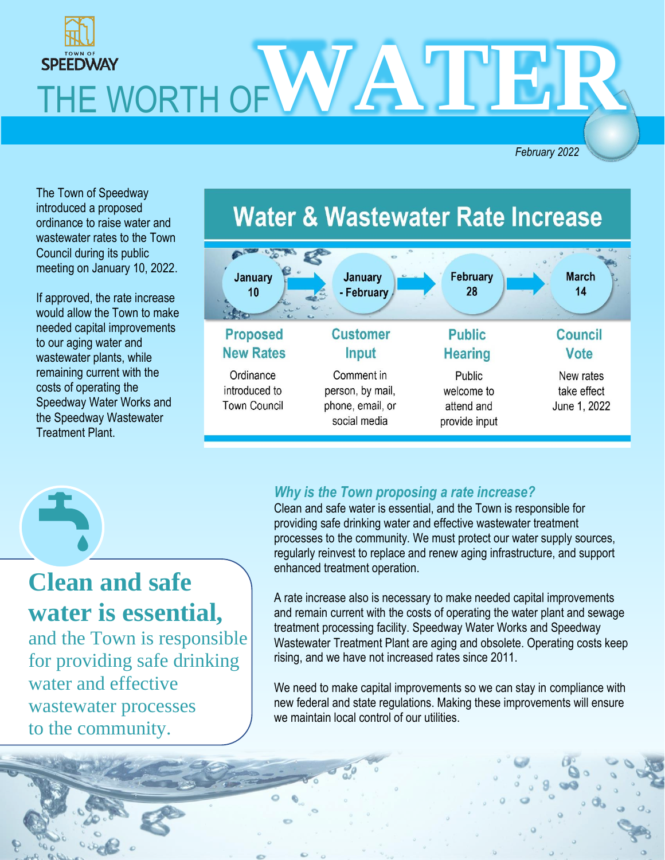

*February 2022*

The Town of Speedway introduced a proposed ordinance to raise water and wastewater rates to the Town Council during its public meeting on January 10, 2022.

If approved, the rate increase would allow the Town to make needed capital improvements to our aging water and wastewater plants, while remaining current with the costs of operating the Speedway Water Works and the Speedway Wastewater Treatment Plant.



## **Clean and safe water is essential,**

and the Town is responsible for providing safe drinking water and effective wastewater processes to the community.

#### *Why is the Town proposing a rate increase?*

Clean and safe water is essential, and the Town is responsible for providing safe drinking water and effective wastewater treatment processes to the community. We must protect our water supply sources, regularly reinvest to replace and renew aging infrastructure, and support enhanced treatment operation.

A rate increase also is necessary to make needed capital improvements and remain current with the costs of operating the water plant and sewage treatment processing facility. Speedway Water Works and Speedway Wastewater Treatment Plant are aging and obsolete. Operating costs keep rising, and we have not increased rates since 2011.

We need to make capital improvements so we can stay in compliance with new federal and state regulations. Making these improvements will ensure we maintain local control of our utilities.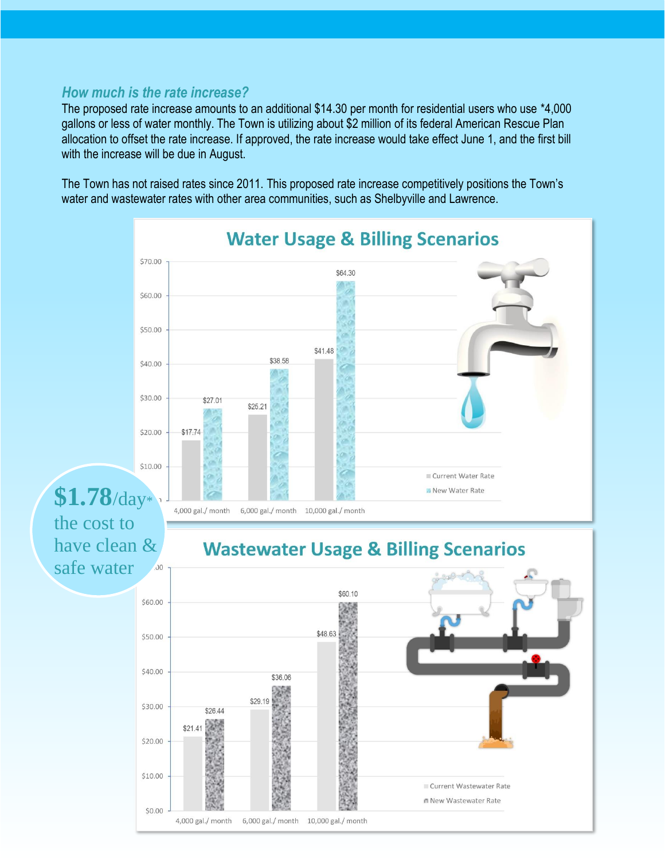#### *How much is the rate increase?*

The proposed rate increase amounts to an additional \$14.30 per month for residential users who use \*4,000 gallons or less of water monthly. The Town is utilizing about \$2 million of its federal American Rescue Plan allocation to offset the rate increase. If approved, the rate increase would take effect June 1, and the first bill with the increase will be due in August.

The Town has not raised rates since 2011. This proposed rate increase competitively positions the Town's water and wastewater rates with other area communities, such as Shelbyville and Lawrence.

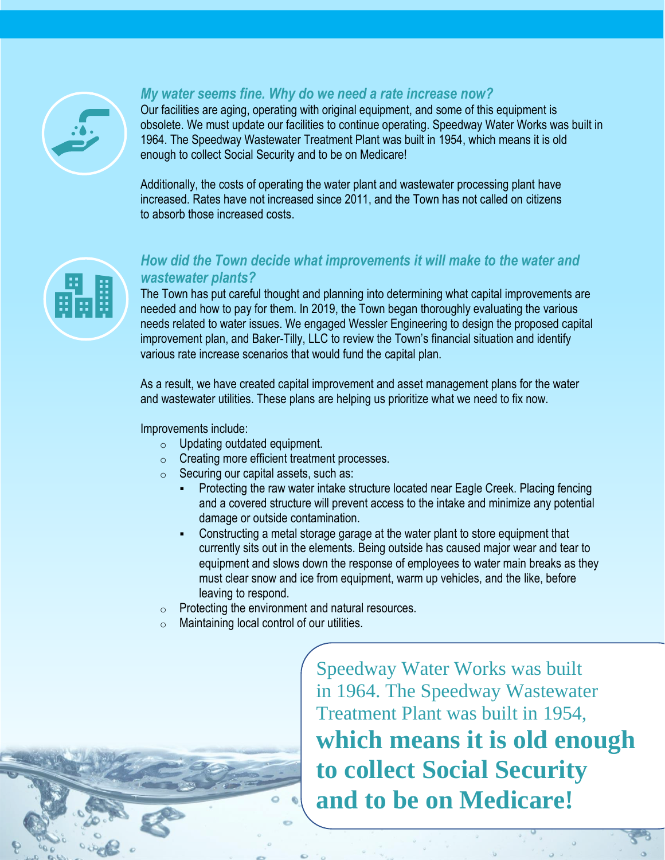

### *My water seems fine. Why do we need a rate increase now?*

Our facilities are aging, operating with original equipment, and some of this equipment is obsolete. We must update our facilities to continue operating. Speedway Water Works was built in 1964. The Speedway Wastewater Treatment Plant was built in 1954, which means it is old enough to collect Social Security and to be on Medicare!

Additionally, the costs of operating the water plant and wastewater processing plant have increased. Rates have not increased since 2011, and the Town has not called on citizens to absorb those increased costs.



#### *How did the Town decide what improvements it will make to the water and wastewater plants?*

The Town has put careful thought and planning into determining what capital improvements are needed and how to pay for them. In 2019, the Town began thoroughly evaluating the various needs related to water issues. We engaged Wessler Engineering to design the proposed capital improvement plan, and Baker-Tilly, LLC to review the Town's financial situation and identify various rate increase scenarios that would fund the capital plan.

As a result, we have created capital improvement and asset management plans for the water and wastewater utilities. These plans are helping us prioritize what we need to fix now.

#### Improvements include:

- o Updating outdated equipment.
- o Creating more efficient treatment processes.
- $\circ$  Securing our capital assets, such as:
	- **Protecting the raw water intake structure located near Eagle Creek. Placing fencing** and a covered structure will prevent access to the intake and minimize any potential damage or outside contamination.
	- Constructing a metal storage garage at the water plant to store equipment that currently sits out in the elements. Being outside has caused major wear and tear to equipment and slows down the response of employees to water main breaks as they must clear snow and ice from equipment, warm up vehicles, and the like, before leaving to respond.
- o Protecting the environment and natural resources.
- $\circ$  Maintaining local control of our utilities.

Speedway Water Works was built in 1964. The Speedway Wastewater Treatment Plant was built in 1954, **which means it is old enough to collect Social Security and to be on Medicare!**